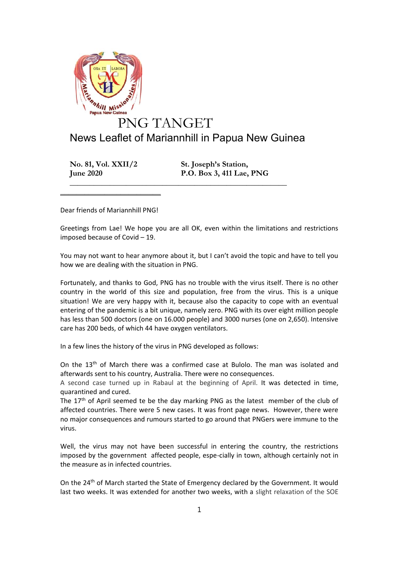

**No. 81, Vol. XXII/2 St. Joseph's Station, June 2020 P.O. Box 3, 411 Lae, PNG**

Dear friends of Mariannhill PNG!

 $\mathcal{L}=\mathcal{L}=\mathcal{L}=\mathcal{L}=\mathcal{L}=\mathcal{L}=\mathcal{L}=\mathcal{L}=\mathcal{L}=\mathcal{L}=\mathcal{L}=\mathcal{L}=\mathcal{L}=\mathcal{L}=\mathcal{L}=\mathcal{L}=\mathcal{L}=\mathcal{L}=\mathcal{L}=\mathcal{L}=\mathcal{L}=\mathcal{L}=\mathcal{L}=\mathcal{L}=\mathcal{L}=\mathcal{L}=\mathcal{L}=\mathcal{L}=\mathcal{L}=\mathcal{L}=\mathcal{L}=\mathcal{L}=\mathcal{L}=\mathcal{L}=\mathcal{L}=\mathcal{L}=\mathcal{$ 

Greetings from Lae! We hope you are all OK, even within the limitations and restrictions imposed because of Covid – 19.

**\_\_\_\_\_\_\_\_\_\_\_\_\_\_\_\_\_\_\_\_\_\_\_\_\_\_\_\_\_\_\_\_\_\_\_\_\_\_\_\_\_\_\_\_\_\_\_\_\_\_\_\_\_\_**

You may not want to hear anymore about it, but I can't avoid the topic and have to tell you how we are dealing with the situation in PNG.

Fortunately, and thanks to God, PNG has no trouble with the virus itself. There is no other country in the world of this size and population, free from the virus. This is a unique situation! We are very happy with it, because also the capacity to cope with an eventual entering of the pandemic is a bit unique, namely zero. PNG with its over eight million people has less than 500 doctors (one on 16.000 people) and 3000 nurses (one on 2,650). Intensive care has 200 beds, of which 44 have oxygen ventilators.

In a few lines the history of the virus in PNG developed as follows:

On the 13th of March there was a confirmed case at Bulolo. The man was isolated and afterwards sent to his country, Australia. There were no consequences.

A second case turned up in Rabaul at the beginning of April. It was detected in time, quarantined and cured.

The 17<sup>th</sup> of April seemed te be the day marking PNG as the latest member of the club of affected countries. There were 5 new cases. It was front page news. However, there were no major consequences and rumours started to go around that PNGers were immune to the virus.

Well, the virus may not have been successful in entering the country, the restrictions imposed by the government affected people, espe-cially in town, although certainly not in the measure as in infected countries.

On the 24<sup>th</sup> of March started the State of Emergency declared by the Government. It would last two weeks. It was extended for another two weeks, with a slight relaxation of the SOE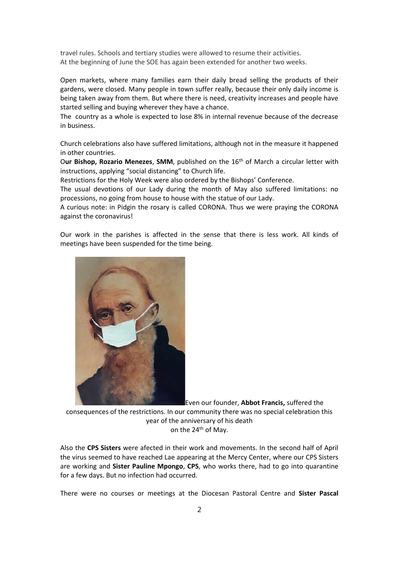travel rules. Schools and tertiary studies were allowed to resume their activities. At the beginning of June the SOE has again been extended for another two weeks.

Open markets, where many families earn their daily bread selling the products of their gardens, were closed. Many people in town suffer really, because their only daily income is being taken away from them. But where there is need, creativity increases and people have started selling and buying wherever they have a chance.

The country as a whole is expected to lose 8% in internal revenue because of the decrease in business.

Church celebrations also have suffered limitations, although not in the measure it happened in other countries.

Our Bishop, Rozario Menezes, SMM, published on the 16<sup>th</sup> of March a circular letter with instructions, applying "social distancing" to Church life.

Restrictions for the Holy Week were also ordered by the Bishops' Conference.

The usual devotions of our Lady during the month of May also suffered limitations: no processions, no going from house to house with the statue of our Lady.

A curious note: in Pidgin the rosary is called CORONA. Thus we were praying the CORONA against the coronavirus!

Our work in the parishes is affected in the sense that there is less work. All kinds of meetings have been suspended for the time being.



Even our founder, **Abbot Francis,** suffered the consequences of the restrictions. In our community there was no special celebration this year of the anniversary of his death on the 24<sup>th</sup> of May.

Also the **CPS Sisters** were afected in their work and movements. In the second half of April the virus seemed to have reached Lae appearing at the Mercy Center, where our CPS Sisters are working and **Sister Pauline Mpongo**, **CPS**, who works there, had to go into quarantine for a few days. But no infection had occurred.

There were no courses or meetings at the Diocesan Pastoral Centre and **Sister Pascal**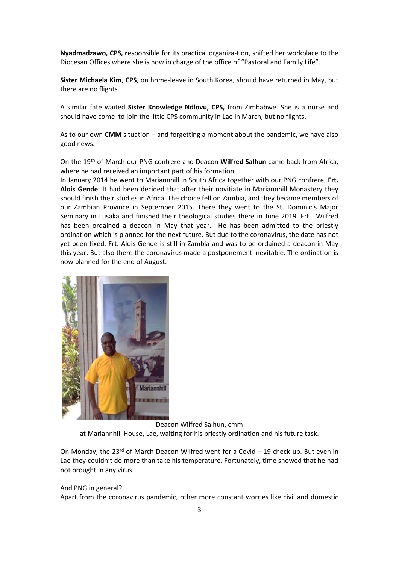**Nyadmadzawo, CPS, r**esponsible for its practical organiza-tion, shifted her workplace to the Diocesan Offices where she is now in charge of the office of "Pastoral and Family Life".

**Sister Michaela Kim**, **CPS**, on home-leave in South Korea, should have returned in May, but there are no flights.

A similar fate waited **Sister Knowledge Ndlovu, CPS,** from Zimbabwe. She is a nurse and should have come to join the little CPS community in Lae in March, but no flights.

As to our own **CMM** situation – and forgetting a moment about the pandemic, we have also good news.

On the 19th of March our PNG confrere and Deacon **Wilfred Salhun** came back from Africa, where he had received an important part of his formation.

In January 2014 he went to Mariannhill in South Africa together with our PNG confrere, **Frt. Alois Gende**. It had been decided that after their novitiate in Mariannhill Monastery they should finish their studies in Africa. The choice fell on Zambia, and they became members of our Zambian Province in September 2015. There they went to the St. Dominic's Major Seminary in Lusaka and finished their theological studies there in June 2019. Frt. Wilfred has been ordained a deacon in May that year. He has been admitted to the priestly ordination which is planned for the next future. But due to the coronavirus, the date has not yet been fixed. Frt. Alois Gende is still in Zambia and was to be ordained a deacon in May this year. But also there the coronavirus made a postponement inevitable. The ordination is now planned for the end of August.



Deacon Wilfred Salhun, cmm at Mariannhill House, Lae, waiting for his priestly ordination and his future task.

On Monday, the 23 $rd$  of March Deacon Wilfred went for a Covid – 19 check-up. But even in Lae they couldn't do more than take his temperature. Fortunately, time showed that he had not brought in any virus.

## And PNG in general? Apart from the coronavirus pandemic, other more constant worries like civil and domestic